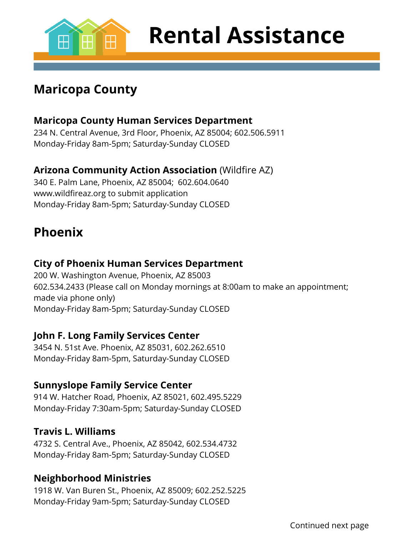

**Rental Assistance** 

## **Maricopa County**

#### **Maricopa County Human Services Department**

234 N. Central Avenue, 3rd Floor, Phoenix, AZ 85004; 602.506.5911 Monday-Friday 8am-5pm; Saturday-Sunday CLOSED

#### **Arizona Community Action Association** (Wildfire AZ)

340 E. Palm Lane, Phoenix, AZ 85004; 602.604.0640 [www.wildfireaz.org](http://www.wildfireaz.org/) to submit application Monday-Friday 8am-5pm; Saturday-Sunday CLOSED

### **Phoenix**

#### **City of Phoenix Human Services Department**

200 W. Washington Avenue, Phoenix, AZ 85003 602.534.2433 (Please call on Monday mornings at 8:00am to make an appointment; made via phone only) Monday-Friday 8am-5pm; Saturday-Sunday CLOSED

#### **John F. Long Family Services Center**

3454 N. 51st Ave. Phoenix, AZ 85031, 602.262.6510 Monday-Friday 8am-5pm, Saturday-Sunday CLOSED

#### **Sunnyslope Family Service Center**

914 W. Hatcher Road, Phoenix, AZ 85021, 602.495.5229 Monday-Friday 7:30am-5pm; Saturday-Sunday CLOSED

#### **Travis L. Williams**

4732 S. Central Ave., Phoenix, AZ 85042, 602.534.4732 Monday-Friday 8am-5pm; Saturday-Sunday CLOSED

#### **Neighborhood Ministries**

1918 W. Van Buren St., Phoenix, AZ 85009; 602.252.5225 Monday-Friday 9am-5pm; Saturday-Sunday CLOSED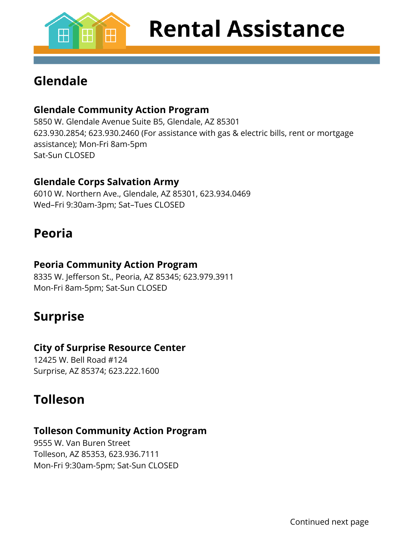

## **Glendale**

#### **Glendale Community Action Program**

5850 W. Glendale Avenue Suite B5, Glendale, AZ 85301 623.930.2854; 623.930.2460 (For assistance with gas & electric bills, rent or mortgage assistance); Mon-Fri 8am-5pm Sat-Sun CLOSED

#### **Glendale Corps Salvation Army**

6010 W. Northern Ave., Glendale, AZ 85301, 623.934.0469 Wed–Fri 9:30am-3pm; Sat–Tues CLOSED

### **Peoria**

#### **Peoria Community Action Program**

8335 W. Jefferson St., Peoria, AZ 85345; 623.979.3911 Mon-Fri 8am-5pm; Sat-Sun CLOSED

## **Surprise**

#### **City of Surprise Resource Center**

12425 W. Bell Road #124 Surprise, AZ 85374; 623.222.1600

## **Tolleson**

#### **Tolleson Community Action Program**

9555 W. Van Buren Street Tolleson, AZ 85353, 623.936.7111 Mon-Fri 9:30am-5pm; Sat-Sun CLOSED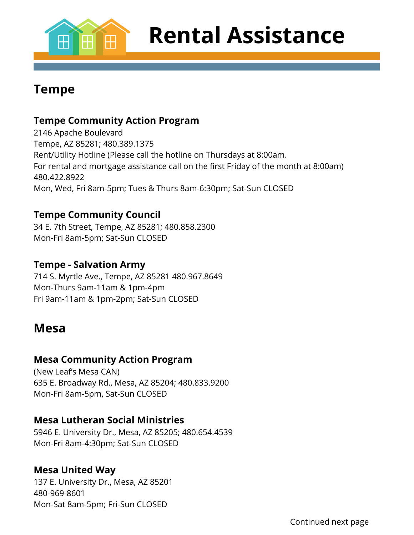

**Rental Assistance** 

### **Tempe**

#### **Tempe Community Action Program**

2146 Apache Boulevard Tempe, AZ 85281; 480.389.1375 Rent/Utility Hotline (Please call the hotline on Thursdays at 8:00am. For rental and mortgage assistance call on the first Friday of the month at 8:00am) 480.422.8922 Mon, Wed, Fri 8am-5pm; Tues & Thurs 8am-6:30pm; Sat-Sun CLOSED

#### **Tempe Community Council**

34 E. 7th Street, Tempe, AZ 85281; 480.858.2300 Mon-Fri 8am-5pm; Sat-Sun CLOSED

#### **Tempe - Salvation Army**

714 S. Myrtle Ave., Tempe, AZ 85281 480.967.8649 Mon-Thurs 9am-11am & 1pm-4pm Fri 9am-11am & 1pm-2pm; Sat-Sun CLOSED

#### **Mesa**

#### **Mesa Community Action Program**

(New Leaf's Mesa CAN) 635 E. Broadway Rd., Mesa, AZ 85204; 480.833.9200 Mon-Fri 8am-5pm, Sat-Sun CLOSED

#### **Mesa Lutheran Social Ministries**

5946 E. University Dr., Mesa, AZ 85205; 480.654.4539 Mon-Fri 8am-4:30pm; Sat-Sun CLOSED

#### **Mesa United Way**

137 E. University Dr., Mesa, AZ 85201 480-969-8601 Mon-Sat 8am-5pm; Fri-Sun CLOSED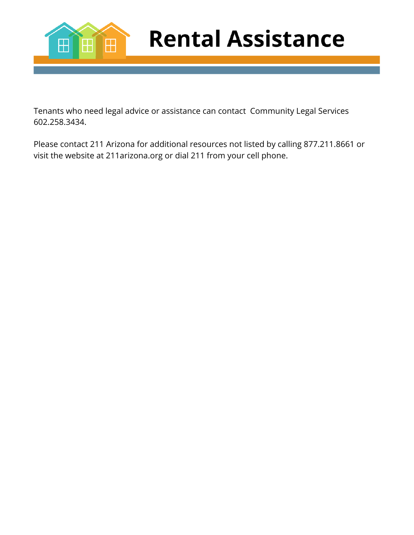

**Rental Assistance** 

Tenants who need legal advice or assistance can contact Community Legal Services 602.258.3434.

Please contact 211 Arizona for additional resources not listed by calling 877.211.8661 or visit the website at 211arizona.org or dial 211 from your cell phone.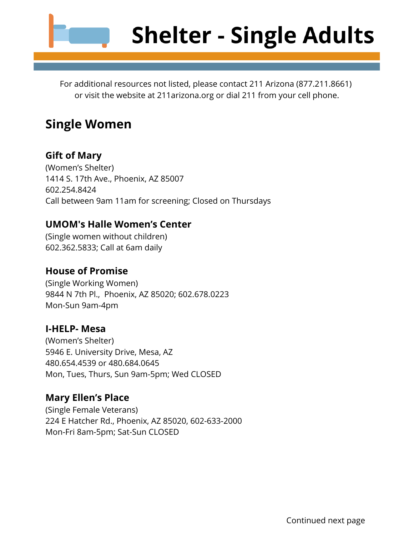

For additional resources not listed, please contact 211 Arizona (877.211.8661) or visit the website at 211arizona.org or dial 211 from your cell phone.

### **Single Women**

#### **Gift of Mary**

(Women's Shelter) 1414 S. 17th Ave., Phoenix, AZ 85007 602.254.8424 Call between 9am 11am for screening; Closed on Thursdays

#### **UMOM's Halle Women's Center**

(Single women without children) 602.362.5833; Call at 6am daily

#### **House of Promise**

(Single Working Women) 9844 N 7th Pl., Phoenix, AZ 85020; 602.678.0223 Mon-Sun 9am-4pm

#### **I-HELP- Mesa**

(Women's Shelter) 5946 E. University Drive, Mesa, AZ 480.654.4539 or 480.684.0645 Mon, Tues, Thurs, Sun 9am-5pm; Wed CLOSED

#### **Mary Ellen's Place**

(Single Female Veterans) 224 E Hatcher Rd., Phoenix, AZ 85020, 602-633-2000 Mon-Fri 8am-5pm; Sat-Sun CLOSED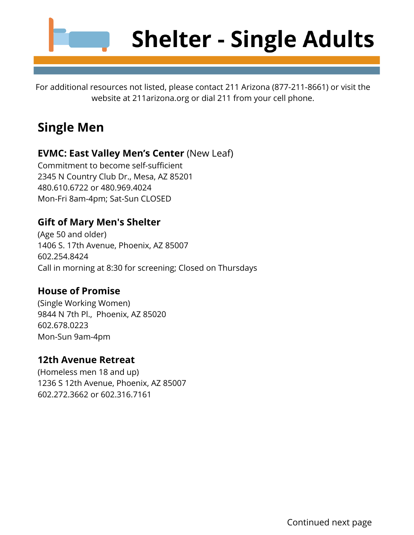

## **Shelter - Single Adults**

For additional resources not listed, please contact 211 Arizona (877-211-8661) or visit the website at 211arizona.org or dial 211 from your cell phone.

## **Single Men**

#### **EVMC: East Valley Men's Center** (New Leaf)

Commitment to become self-sufficient 2345 N Country Club Dr., Mesa, AZ 85201 480.610.6722 or 480.969.4024 Mon-Fri 8am-4pm; Sat-Sun CLOSED

#### **Gift of Mary Men's Shelter**

(Age 50 and older) 1406 S. 17th Avenue, Phoenix, AZ 85007 602.254.8424 Call in morning at 8:30 for screening; Closed on Thursdays

#### **House of Promise**

(Single Working Women) 9844 N 7th Pl., Phoenix, AZ 85020 602.678.0223 Mon-Sun 9am-4pm

#### **12th Avenue Retreat**

(Homeless men 18 and up) 1236 S 12th Avenue, Phoenix, AZ 85007 602.272.3662 or 602.316.7161

Continued next page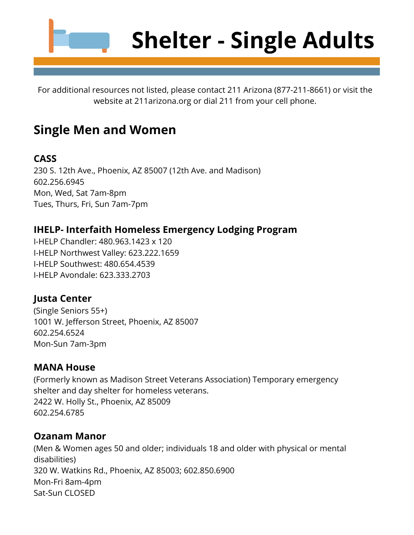

For additional resources not listed, please contact 211 Arizona (877-211-8661) or visit the website at 211arizona.org or dial 211 from your cell phone.

## **Single Men and Women**

#### **CASS**

230 S. 12th Ave., Phoenix, AZ 85007 (12th Ave. and Madison) 602.256.6945 Mon, Wed, Sat 7am-8pm Tues, Thurs, Fri, Sun 7am-7pm

#### **IHELP- Interfaith Homeless Emergency Lodging Program**

I-HELP Chandler: 480.963.1423 x 120 I-HELP Northwest Valley: 623.222.1659 I-HELP Southwest: 480.654.4539 I-HELP Avondale: 623.333.2703

#### **Justa Center**

(Single Seniors 55+) 1001 W. Jefferson Street, Phoenix, AZ 85007 602.254.6524 Mon-Sun 7am-3pm

#### **MANA House**

(Formerly known as Madison Street Veterans Association) Temporary emergency shelter and day shelter for homeless veterans. 2422 W. Holly St., Phoenix, AZ 85009 602.254.6785

#### **Ozanam Manor**

(Men & Women ages 50 and older; individuals 18 and older with physical or mental disabilities) 320 W. Watkins Rd., Phoenix, AZ 85003; 602.850.6900 Mon-Fri 8am-4pm Sat-Sun CLOSED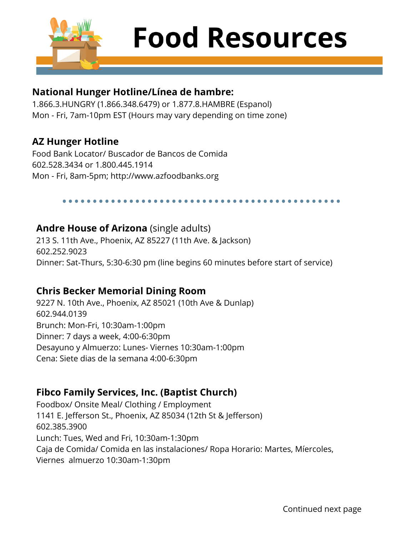

# **Food Resources**

#### **National Hunger Hotline/Línea de hambre:**

1.866.3.HUNGRY (1.866.348.6479) or 1.877.8.HAMBRE (Espanol) Mon - Fri, 7am-10pm EST (Hours may vary depending on time zone)

#### **AZ Hunger Hotline**

Food Bank Locator/ Buscador de Bancos de Comida 602.528.3434 or 1.800.445.1914 Mon - Fri, 8am-5pm; http://www.azfoodbanks.org

#### **Andre House of Arizona** (single adults)

213 S. 11th Ave., Phoenix, AZ 85227 (11th Ave. & Jackson) 602.252.9023 Dinner: Sat-Thurs, 5:30-6:30 pm (line begins 60 minutes before start of service)

#### **Chris Becker Memorial Dining Room**

9227 N. 10th Ave., Phoenix, AZ 85021 (10th Ave & Dunlap) 602.944.0139 Brunch: Mon-Fri, 10:30am-1:00pm Dinner: 7 days a week, 4:00-6:30pm Desayuno y Almuerzo: Lunes- Viernes 10:30am-1:00pm Cena: Siete dias de la semana 4:00-6:30pm

#### **Fibco Family Services, Inc. (Baptist Church)**

Foodbox/ Onsite Meal/ Clothing / Employment 1141 E. Jefferson St., Phoenix, AZ 85034 (12th St & Jefferson) 602.385.3900 Lunch: Tues, Wed and Fri, 10:30am-1:30pm Caja de Comida/ Comida en las instalaciones/ Ropa Horario: Martes, Míercoles, Viernes almuerzo 10:30am-1:30pm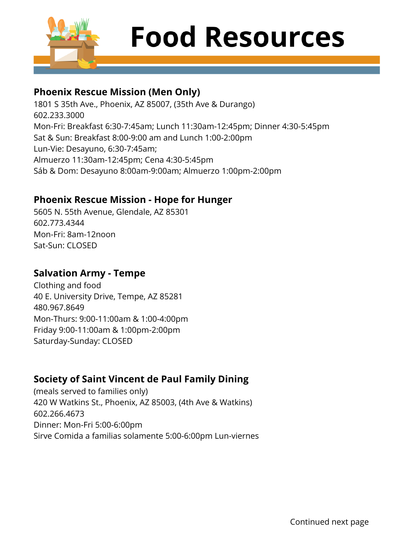

# **Food Resources**

#### **Phoenix Rescue Mission (Men Only)**

1801 S 35th Ave., Phoenix, AZ 85007, (35th Ave & Durango) 602.233.3000 Mon-Fri: Breakfast 6:30-7:45am; Lunch 11:30am-12:45pm; Dinner 4:30-5:45pm Sat & Sun: Breakfast 8:00-9:00 am and Lunch 1:00-2:00pm Lun-Vie: Desayuno, 6:30-7:45am; Almuerzo 11:30am-12:45pm; Cena 4:30-5:45pm Sáb & Dom: Desayuno 8:00am-9:00am; Almuerzo 1:00pm-2:00pm

#### **Phoenix Rescue Mission - Hope for Hunger**

5605 N. 55th Avenue, Glendale, AZ 85301 602.773.4344 Mon-Fri: 8am-12noon Sat-Sun: CLOSED

#### **Salvation Army - Tempe**

Clothing and food 40 E. University Drive, Tempe, AZ 85281 480.967.8649 Mon-Thurs: 9:00-11:00am & 1:00-4:00pm Friday 9:00-11:00am & 1:00pm-2:00pm Saturday-Sunday: CLOSED

#### **Society of Saint Vincent de Paul Family Dining**

(meals served to families only) 420 W Watkins St., Phoenix, AZ 85003, (4th Ave & Watkins) 602.266.4673 Dinner: Mon-Fri 5:00-6:00pm Sirve Comida a familias solamente 5:00-6:00pm Lun-viernes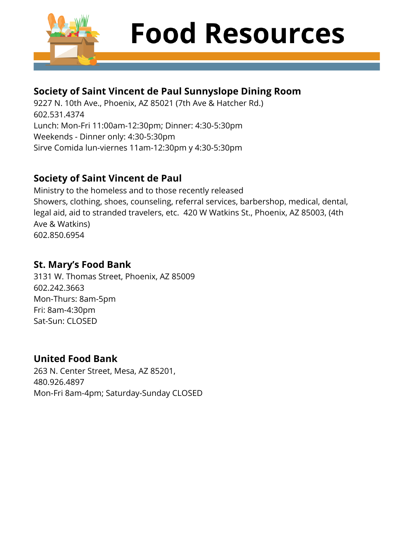

# **Food Resources**

#### **Society of Saint Vincent de Paul Sunnyslope Dining Room**

9227 N. 10th Ave., Phoenix, AZ 85021 (7th Ave & Hatcher Rd.) 602.531.4374 Lunch: Mon-Fri 11:00am-12:30pm; Dinner: 4:30-5:30pm Weekends - Dinner only: 4:30-5:30pm Sirve Comida lun-viernes 11am-12:30pm y 4:30-5:30pm

#### **Society of Saint Vincent de Paul**

Ministry to the homeless and to those recently released Showers, clothing, shoes, counseling, referral services, barbershop, medical, dental, legal aid, aid to stranded travelers, etc. 420 W Watkins St., Phoenix, AZ 85003, (4th Ave & Watkins) 602.850.6954

#### **St. Mary's Food Bank**

3131 W. Thomas Street, Phoenix, AZ 85009 602.242.3663 Mon-Thurs: 8am-5pm Fri: 8am-4:30pm Sat-Sun: CLOSED

#### **United Food Bank**

263 N. Center Street, Mesa, AZ 85201, 480.926.4897 Mon-Fri 8am-4pm; Saturday-Sunday CLOSED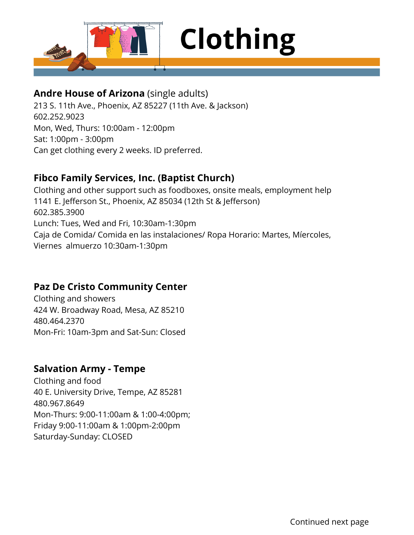

#### **Andre House of Arizona** (single adults)

213 S. 11th Ave., Phoenix, AZ 85227 (11th Ave. & Jackson) 602.252.9023 Mon, Wed, Thurs: 10:00am - 12:00pm Sat: 1:00pm - 3:00pm Can get clothing every 2 weeks. ID preferred.

#### **Fibco Family Services, Inc. (Baptist Church)**

Clothing and other support such as foodboxes, onsite meals, employment help 1141 E. Jefferson St., Phoenix, AZ 85034 (12th St & Jefferson) 602.385.3900 Lunch: Tues, Wed and Fri, 10:30am-1:30pm Caja de Comida/ Comida en las instalaciones/ Ropa Horario: Martes, Míercoles, Viernes almuerzo 10:30am-1:30pm

#### **Paz De Cristo Community Center**

Clothing and showers 424 W. Broadway Road, Mesa, AZ 85210 480.464.2370 Mon-Fri: 10am-3pm and Sat-Sun: Closed

#### **Salvation Army - Tempe**

Clothing and food 40 E. University Drive, Tempe, AZ 85281 480.967.8649 Mon-Thurs: 9:00-11:00am & 1:00-4:00pm; Friday 9:00-11:00am & 1:00pm-2:00pm Saturday-Sunday: CLOSED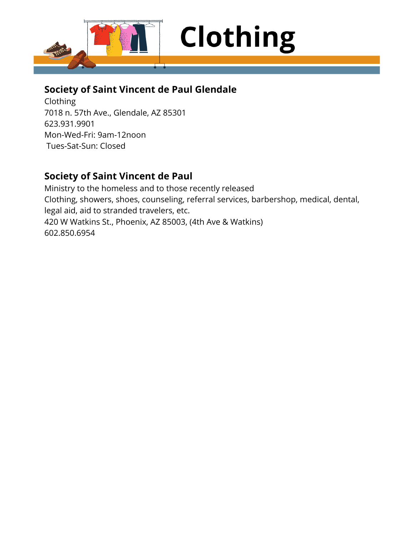

#### **Society of Saint Vincent de Paul Glendale**

Clothing 7018 n. 57th Ave., Glendale, AZ 85301 623.931.9901 Mon-Wed-Fri: 9am-12noon Tues-Sat-Sun: Closed

#### **Society of Saint Vincent de Paul**

Ministry to the homeless and to those recently released Clothing, showers, shoes, counseling, referral services, barbershop, medical, dental, legal aid, aid to stranded travelers, etc. 420 W Watkins St., Phoenix, AZ 85003, (4th Ave & Watkins) 602.850.6954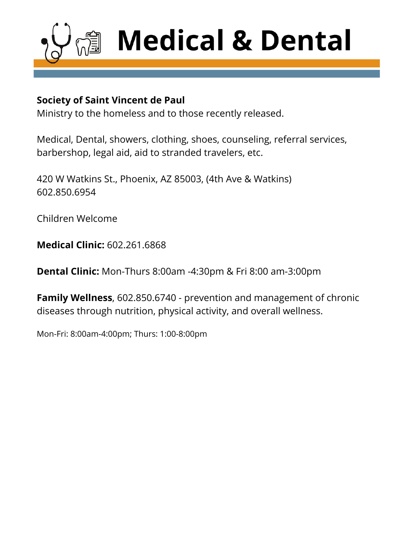

#### **Society of Saint Vincent de Paul**

Ministry to the homeless and to those recently released.

Medical, Dental, showers, clothing, shoes, counseling, referral services, barbershop, legal aid, aid to stranded travelers, etc.

420 W Watkins St., Phoenix, AZ 85003, (4th Ave & Watkins) 602.850.6954

Children Welcome

**Medical Clinic:** 602.261.6868

**Dental Clinic:** Mon-Thurs 8:00am -4:30pm & Fri 8:00 am-3:00pm

**Family Wellness**, 602.850.6740 - prevention and management of chronic diseases through nutrition, physical activity, and overall wellness.

Mon-Fri: 8:00am-4:00pm; Thurs: 1:00-8:00pm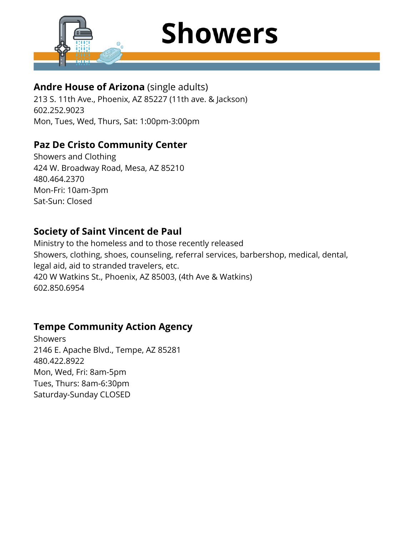

## **Showers**

#### **Andre House of Arizona** (single adults)

213 S. 11th Ave., Phoenix, AZ 85227 (11th ave. & Jackson) 602.252.9023 Mon, Tues, Wed, Thurs, Sat: 1:00pm-3:00pm

#### **Paz De Cristo Community Center**

Showers and Clothing 424 W. Broadway Road, Mesa, AZ 85210 480.464.2370 Mon-Fri: 10am-3pm Sat-Sun: Closed

#### **Society of Saint Vincent de Paul**

Ministry to the homeless and to those recently released Showers, clothing, shoes, counseling, referral services, barbershop, medical, dental, legal aid, aid to stranded travelers, etc. 420 W Watkins St., Phoenix, AZ 85003, (4th Ave & Watkins) 602.850.6954

#### **Tempe Community Action Agency**

Showers 2146 E. Apache Blvd., Tempe, AZ 85281 480.422.8922 Mon, Wed, Fri: 8am-5pm Tues, Thurs: 8am-6:30pm Saturday-Sunday CLOSED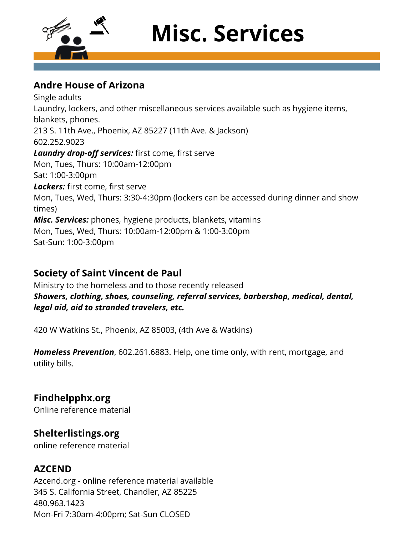

## **Misc. Services**

#### **Andre House of Arizona**

Single adults Laundry, lockers, and other miscellaneous services available such as hygiene items, blankets, phones. 213 S. 11th Ave., Phoenix, AZ 85227 (11th Ave. & Jackson) 602.252.9023 *Laundry drop-off services:* first come, first serve Mon, Tues, Thurs: 10:00am-12:00pm Sat: 1:00-3:00pm *Lockers:* first come, first serve Mon, Tues, Wed, Thurs: 3:30-4:30pm (lockers can be accessed during dinner and show times) *Misc. Services:* phones, hygiene products, blankets, vitamins Mon, Tues, Wed, Thurs: 10:00am-12:00pm & 1:00-3:00pm Sat-Sun: 1:00-3:00pm

#### **Society of Saint Vincent de Paul**

Ministry to the homeless and to those recently released *Showers, clothing, shoes, counseling, referral services, barbershop, medical, dental, legal aid, aid to stranded travelers, etc.*

420 W Watkins St., Phoenix, AZ 85003, (4th Ave & Watkins)

*Homeless Prevention*, 602.261.6883. Help, one time only, with rent, mortgage, and utility bills.

#### **Findhelpphx.org**

Online reference material

#### **Shelterlistings.org**

online reference material

#### **AZCEND**

Azcend.org - online reference material available 345 S. California Street, Chandler, AZ 85225 480.963.1423 Mon-Fri 7:30am-4:00pm; Sat-Sun CLOSED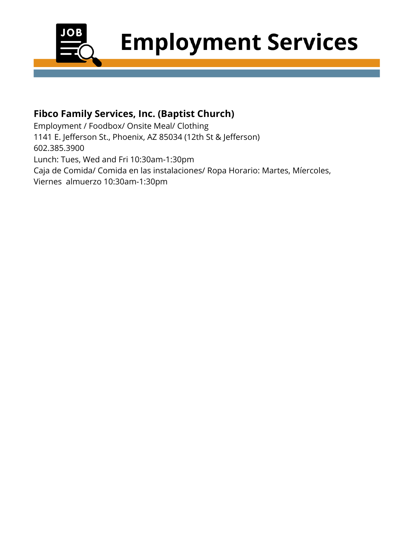

## **Employment Services**

#### **Fibco Family Services, Inc. (Baptist Church)**

Employment / Foodbox/ Onsite Meal/ Clothing 1141 E. Jefferson St., Phoenix, AZ 85034 (12th St & Jefferson) 602.385.3900 Lunch: Tues, Wed and Fri 10:30am-1:30pm Caja de Comida/ Comida en las instalaciones/ Ropa Horario: Martes, Míercoles, Viernes almuerzo 10:30am-1:30pm